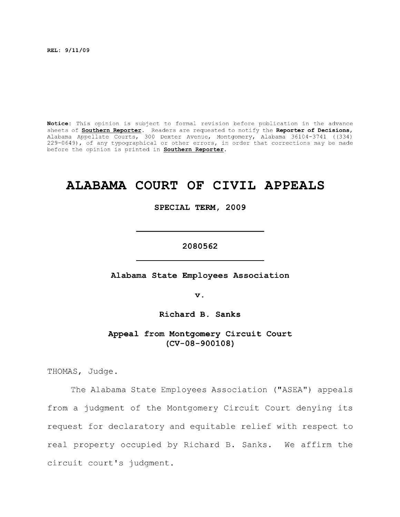**REL: 9/11/09** 

**Notice:** This opinion is subject to formal revision before publication in the advance sheets of **Southern Reporter**. Readers are requested to notify the **Reporter of Decisions,**  Alabama Appellate Courts, 300 Dexter Avenue, Montgomery, Alabama 36104-3741 ((334) 229-0649), of any typographical or other errors, in order that corrections may be made before the opinion is printed in **Southern Reporter.** 

# **ALABAMA COURT OF CIVIL APPEALS**

**SPECIAL TERM, 2009** 

# **2080562**

Alabama State Employees Association

**V .** 

**Richard B. Sanks** 

**Appeal from Montgomery Circuit Court (CV-08-900108)** 

THOMAS, Judge.

The Alabama State Employees Association ("ASEA") appeals from a judgment of the Montgomery Circuit Court denying its request for declaratory and equitable relief with respect to real property occupied by Richard B. Sanks. We affirm the circuit court's judgment.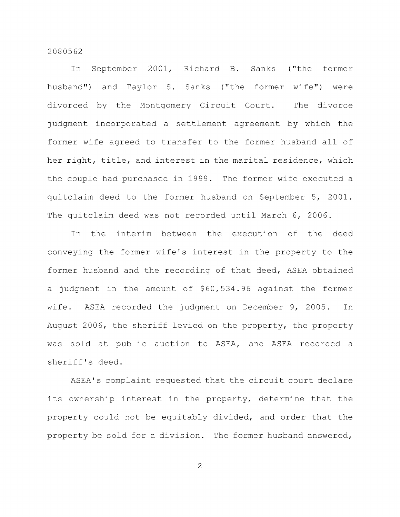In September 2001, Richard B. Sanks ("the former husband") and Taylor S. Sanks ("the former wife") were divorced by the Montgomery Circuit Court. The divorce judgment incorporated a settlement agreement by which the former wife agreed to transfer to the former husband all of her right, title, and interest in the marital residence, which the couple had purchased in 1999. The former wife executed a quitclaim deed to the former husband on September 5, 2001. The quitclaim deed was not recorded until March 6, 2006.

In the interim between the execution of the deed conveying the former wife's interest in the property to the former husband and the recording of that deed, ASEA obtained a judgment in the amount of \$60,534.96 against the former wife. ASEA recorded the judgment on December 9, 2005. In August 2006, the sheriff levied on the property, the property was sold at public auction to ASEA, and ASEA recorded a sheriff's deed.

ASEA's complaint requested that the circuit court declare its ownership interest in the property, determine that the property could not be equitably divided, and order that the property be sold for a division. The former husband answered.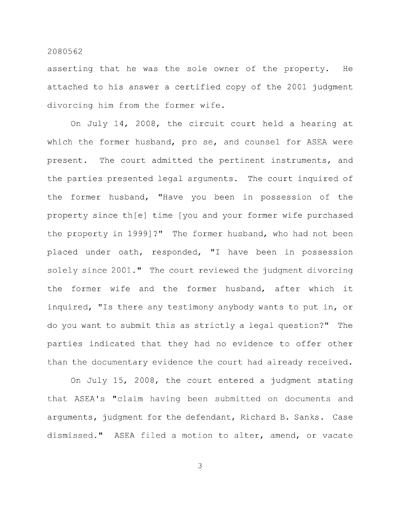asserting that he was the sole owner of the property. He attached to his answer a certified copy of the 2001 judgment divorcing him from the former wife.

On July 14, 2008, the circuit court held a hearing at which the former husband, pro se, and counsel for ASEA were present. The court admitted the pertinent instruments, and the parties presented legal arguments. The court inquired of the former husband, "Have you been in possession of the property since th[e] time [you and your former wife purchased the property in 1999]?" The former husband, who had not been placed under oath, responded, "I have been in possession solely since 2001." The court reviewed the judgment divorcing the former wife and the former husband, after which it inquired, "Is there any testimony anybody wants to put in, or do you want to submit this as strictly a legal question?" The parties indicated that they had no evidence to offer other than the documentary evidence the court had already received.

On July 15, 2008, the court entered a judgment stating that ASEA's "claim having been submitted on documents and arguments, judgment for the defendant, Richard B. Sanks. Case dismissed." ASEA filed a motion to alter, amend, or vacate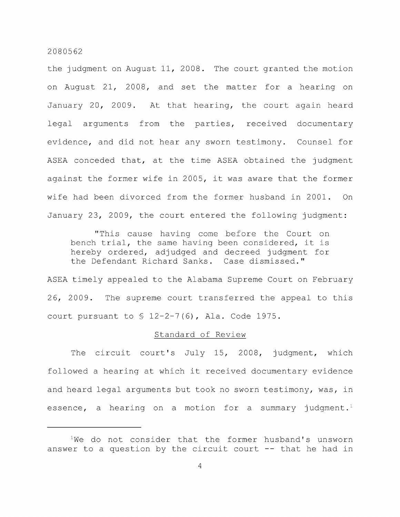the judgment on August 11, 2008. The court granted the motion on August 21, 2008, and set the matter for a hearing on January 20, 2009. At that hearing, the court again heard legal arguments from the parties, received documentary evidence, and did not hear any sworn testimony. Counsel for ASEA conceded that, at the time ASEA obtained the judgment against the former wife in 2005, it was aware that the former wife had been divorced from the former husband in 2001. On January 23, 2009, the court entered the following judgment:

"This cause having come before the Court on bench trial, the same having been considered, it is hereby ordered, adjudged and decreed judgment for the Defendant Richard Sanks. Case dismissed."

ASEA timely appealed to the Alabama Supreme Court on February 26, 2009. The supreme court transferred the appeal to this court pursuant to § 12-2-7(6), Ala. Code 1975.

## Standard of Review

The circuit court's July 15, 2008, judgment, which followed a hearing at which it received documentary evidence and heard legal arguments but took no sworn testimony, was, in essence, a hearing on a motion for a summary judgment.<sup>1</sup>

 $1$ We do not consider that the former husband's unsworn answer to a question by the circuit court  $-$ - that he had in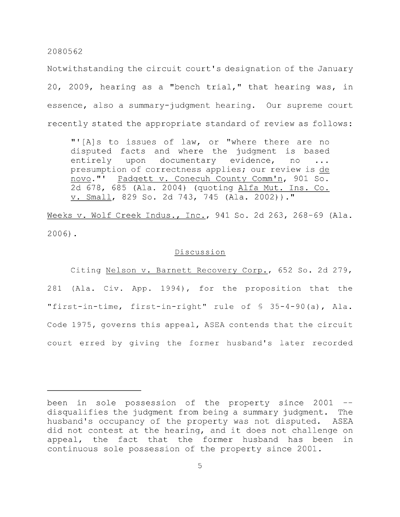Notwithstanding the circuit court's designation of the January 20, 2009, hearing as a "bench trial," that hearing was, in essence, also a summary-judgment hearing. Our supreme court recently stated the appropriate standard of review as follows:

"'[A]s to issues of law, or "where there are no disputed facts and where the judgment is based entirely upon documentary evidence, no presumption of correctness applies; our review is de novo."' Padgett v. Conecuh County Comm'n, 901 So. 2d 678, 685 (Ala. 2004) (quoting Alfa Mut. Ins. Co. V. Small, 829 So. 2d 743, 745 (Ala. 2002))."

Weeks V. Wolf Creek Indus., Inc., 941 So. 2d 263, 268-69 (Ala. 2006) .

## Discussion

Citing Nelson v. Barnett Recovery Corp., 652 So. 2d 279, 281 (Ala. Civ. App. 1994), for the proposition that the "first-in-time, first-in-right" rule of § 35-4-90(a), Ala. Code 1975, governs this appeal, ASEA contends that the circuit court erred by giving the former husband's later recorded

been in sole possession of the property since 2001 -disqualifies the judgment from being a summary judgment. The husband's occupancy of the property was not disputed. ASEA did not contest at the hearing, and it does not challenge on appeal, the fact that the former husband has been in continuous sole possession of the property since 2001.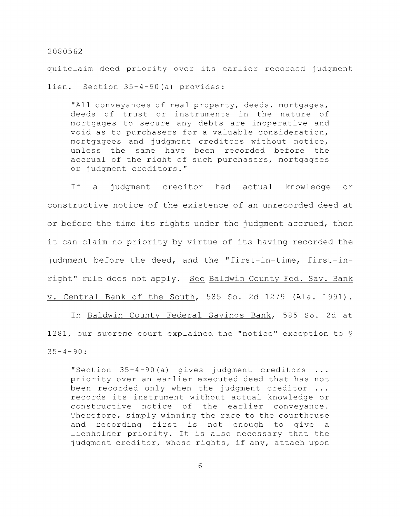quitclaim deed priority over its earlier recorded judgment lien. Section 35-4-90(a) provides:

"All conveyances of real property, deeds, mortgages, deeds of trust or instruments in the nature of mortgages to secure any debts are inoperative and void as to purchasers for a valuable consideration, mortgagees and judgment creditors without notice, unless the same have been recorded before the accrual of the right of such purchasers, mortgagees or judgment creditors."

If a judgment creditor had actual knowledge or constructive notice of the existence of an unrecorded deed at or before the time its rights under the judgment accrued, then it can claim no priority by virtue of its having recorded the judgment before the deed, and the "first-in-time, first-inright" rule does not apply. See Baldwin County Fed. Sav. Bank V. Central Bank of the South, 585 So. 2d 1279 (Ala. 1991).

In Baldwin County Federal Savings Bank, 585 So. 2d at 1281, our supreme court explained the "notice" exception to §  $35 - 4 - 90$ :

"Section 35-4-90 (a) gives judgment creditors ... priority over an earlier executed deed that has not been recorded only when the judgment creditor ... records its instrument without actual knowledge or constructive notice of the earlier conveyance. Therefore, simply winning the race to the courthouse and recording first is not enough to give a lienholder priority. It is also necessary that the judgment creditor, whose rights, if any, attach upon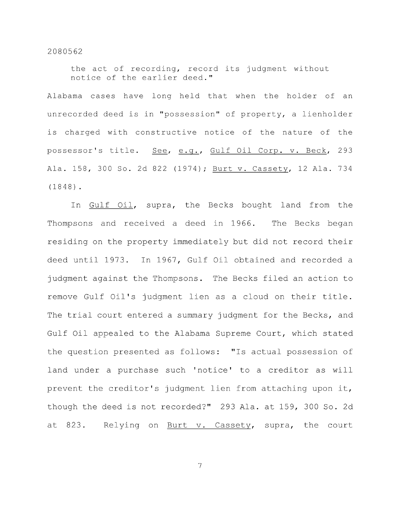the act of recording, record its judgment without notice of the earlier deed."

Alabama cases have long held that when the holder of an unrecorded deed is in "possession" of property, a lienholder is charged with constructive notice of the nature of the possessor's title. See, e.g., Gulf Oil Corp. v. Beck, 293 Ala. 158, 300 So. 2d 822 (1974); Burt v. Cassety, 12 Ala. 734 (1848) .

In Gulf Oil, supra, the Becks bought land from the Thompsons and received a deed in 1966. The Becks began residing on the property Immediately but did not record their deed until 1973. In 1967, Gulf Oil obtained and recorded a judgment against the Thompsons. The Becks filed an action to remove Gulf Oil's judgment lien as a cloud on their title. The trial court entered a summary judgment for the Becks, and Gulf Oil appealed to the Alabama Supreme Court, which stated the question presented as follows: "Is actual possession of land under a purchase such 'notice' to a creditor as will prevent the creditor's judgment lien from attaching upon it, though the deed Is not recorded?" 293 Ala. at 159, 300 So. 2d at 823. Relying on Burt v. Cassety, supra, the court

 $\overline{7}$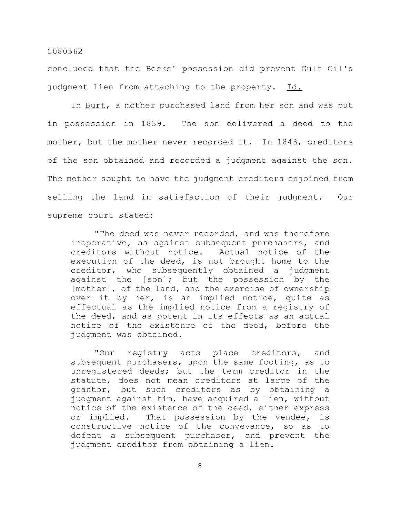concluded that the Becks' possession did prevent Gulf Oil's judgment lien from attaching to the property. Id.

In Burt, a mother purchased land from her son and was put in possession in 1839. The son delivered a deed to the mother, but the mother never recorded it. In 1843, creditors of the son obtained and recorded a judgment against the son. The mother sought to have the judgment creditors enjoined from selling the land in satisfaction of their judgment. Our supreme court stated:

"The deed was never recorded, and was therefore inoperative, as against subsequent purchasers, and creditors without notice. Actual notice of the execution of the deed, is not brought home to the creditor, who subsequently obtained a judgment against the [son]; but the possession by the [mother], of the land, and the exercise of ownership over it by her, is an implied notice, quite as effectual as the implied notice from a registry of the deed, and as potent in its effects as an actual notice of the existence of the deed, before the judgment was obtained.

"Our registry acts place creditors, and subsequent purchasers, upon the same footing, as to unregistered deeds; but the term creditor in the statute, does not mean creditors at large of the grantor, but such creditors as by obtaining a judgment against him, have acquired a lien, without notice of the existence of the deed, either express or implied. That possession by the vendee, is constructive notice of the conveyance, so as to defeat a subsequent purchaser, and prevent the judgment creditor from obtaining a lien.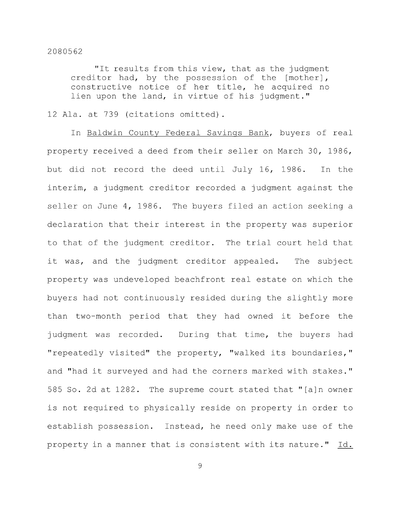"It results from this view, that as the judgment creditor had, by the possession of the [mother] , constructive notice of her title, he acquired no lien upon the land, in virtue of his judgment."

12 Ala. at 739 (citations omitted).

In Baldwin County Federal Savings Bank, buyers of real property received a deed from their seller on March 30, 1986, but did not record the deed until July 16, 1986. In the interim, a judgment creditor recorded a judgment against the seller on June 4, 1986. The buyers filed an action seeking a declaration that their interest in the property was superior to that of the judgment creditor. The trial court held that it was, and the judgment creditor appealed. The subject property was undeveloped beachfront real estate on which the buyers had not continuously resided during the slightly more than two-month period that they had owned it before the judgment was recorded. During that time, the buyers had "repeatedly visited" the property, "walked its boundaries," and "had it surveyed and had the corners marked with stakes." 585 So. 2d at 1282. The supreme court stated that "[a]n owner is not required to physically reside on property in order to establish possession. Instead, he need only make use of the property in a manner that is consistent with its nature." Id.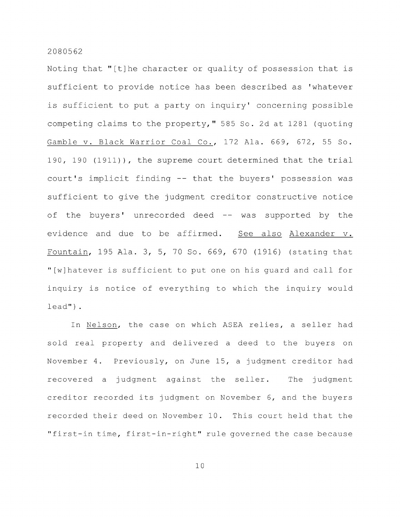Noting that "[t]he character or quality of possession that is sufficient to provide notice has been described as 'whatever is sufficient to put a party on inquiry' concerning possible competing claims to the property," 585 So. 2d at 1281 (quoting Gamble v. Black Warrior Coal Co., 172 Ala. 669, 672, 55 So. 190, 190 (1911)), the supreme court determined that the trial court's Implicit finding -- that the buyers' possession was sufficient to give the judgment creditor constructive notice of the buyers' unrecorded deed -- was supported by the evidence and due to be affirmed. See also Alexander v. Fountain, 195 Ala. 3, 5, 70 So. 669, 670 (1916) (stating that "[wjhatever is sufficient to put one on his guard and call for inquiry is notice of everything to which the inquiry would lead").

In Nelson, the case on which ASEA relies, a seller had sold real property and delivered a deed to the buyers on November 4. Previously, on June 15, a judgment creditor had recovered a judgment against the seller. The judgment creditor recorded its judgment on November 6, and the buyers recorded their deed on November 10. This court held that the "first-in time, first-in-right" rule governed the case because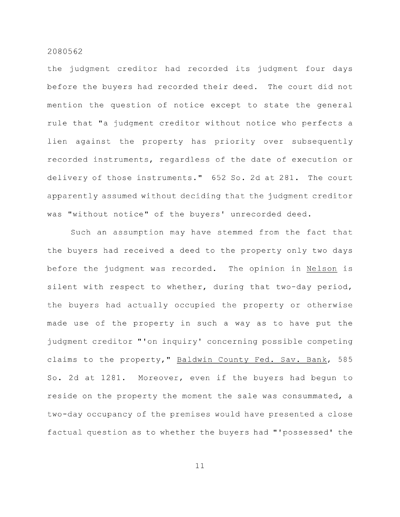the judgment creditor had recorded its judgment four days before the buyers had recorded their deed. The court did not mention the question of notice except to state the general rule that "a judgment creditor without notice who perfects a lien against the property has priority over subsequently recorded instruments, regardless of the date of execution or delivery of those instruments." 652 So. 2d at 281. The court apparently assumed without deciding that the judgment creditor was "without notice" of the buyers' unrecorded deed.

Such an assumption may have stemmed from the fact that the buyers had received a deed to the property only two days before the judgment was recorded. The opinion in Nelson is silent with respect to whether, during that two-day period, the buyers had actually occupied the property or otherwise made use of the property in such a way as to have put the judgment creditor "'on inquiry' concerning possible competing claims to the property," Baldwin County Fed. Sav. Bank, 585 So. 2d at 1281. Moreover, even if the buyers had begun to reside on the property the moment the sale was consummated, a two-day occupancy of the premises would have presented a close factual question as to whether the buyers had "'possessed' the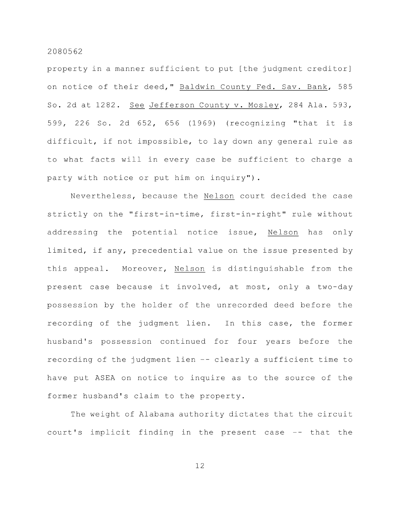property in a manner sufficient to put [the judgment creditor] on notice of their deed," Baldwin County Fed. Sav. Bank, 585 So. 2d at 1282. See Jefferson County v. Mosley, 284 Ala. 593, 599, 226 So. 2d 652, 656 (1969) (recognizing "that it is difficult, if not impossible, to lay down any general rule as to what facts will in every case be sufficient to charge a party with notice or put him on inquiry").

Nevertheless, because the Nelson court decided the case strictly on the "first-in-time, first-in-right" rule without addressing the potential notice issue. Nelson has only limited, if any, precedential value on the issue presented by this appeal. Moreover, Nelson is distinguishable from the present case because it involved, at most, only a two-day possession by the holder of the unrecorded deed before the recording of the judgment lien. In this case, the former husband's possession continued for four years before the recording of the judgment lien -- clearly a sufficient time to have put ASEA on notice to inquire as to the source of the former husband's claim to the property.

The weight of Alabama authority dictates that the circuit court's implicit finding in the present case -- that the